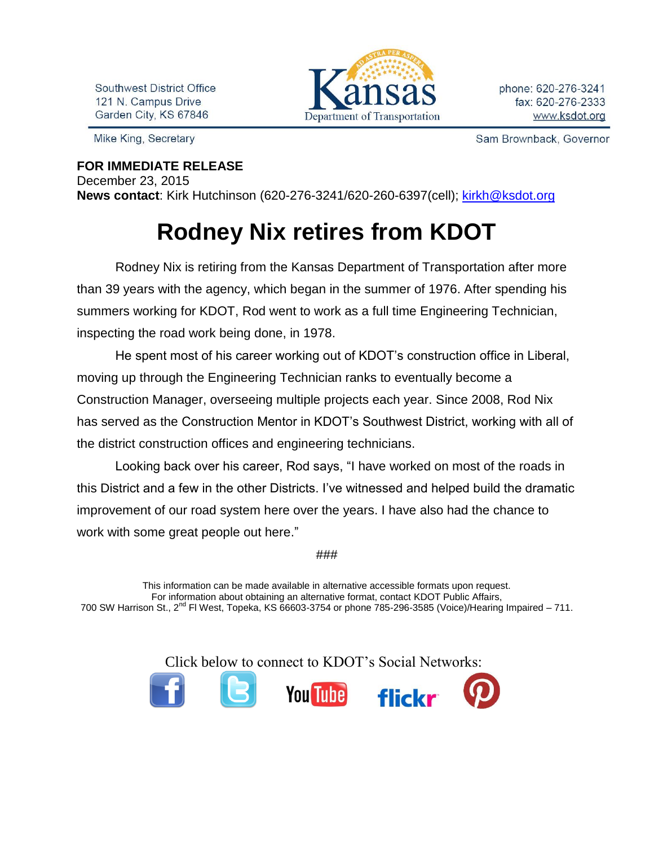Southwest District Office 121 N. Campus Drive Garden City, KS 67846

Mike King, Secretary

## Department of Transportation

Sam Brownback, Governor

## **FOR IMMEDIATE RELEASE**

December 23, 2015

**News contact**: Kirk Hutchinson (620-276-3241/620-260-6397(cell); [kirkh@ksdot.org](mailto:kirkh@ksdot.org)

## **Rodney Nix retires from KDOT**

Rodney Nix is retiring from the Kansas Department of Transportation after more than 39 years with the agency, which began in the summer of 1976. After spending his summers working for KDOT, Rod went to work as a full time Engineering Technician, inspecting the road work being done, in 1978.

He spent most of his career working out of KDOT's construction office in Liberal, moving up through the Engineering Technician ranks to eventually become a Construction Manager, overseeing multiple projects each year. Since 2008, Rod Nix has served as the Construction Mentor in KDOT's Southwest District, working with all of the district construction offices and engineering technicians.

Looking back over his career, Rod says, "I have worked on most of the roads in this District and a few in the other Districts. I've witnessed and helped build the dramatic improvement of our road system here over the years. I have also had the chance to work with some great people out here."

###

This information can be made available in alternative accessible formats upon request. For information about obtaining an alternative format, contact KDOT Public Affairs, 700 SW Harrison St., 2<sup>nd</sup> Fl West, Topeka, KS 66603-3754 or phone 785-296-3585 (Voice)/Hearing Impaired – 711.